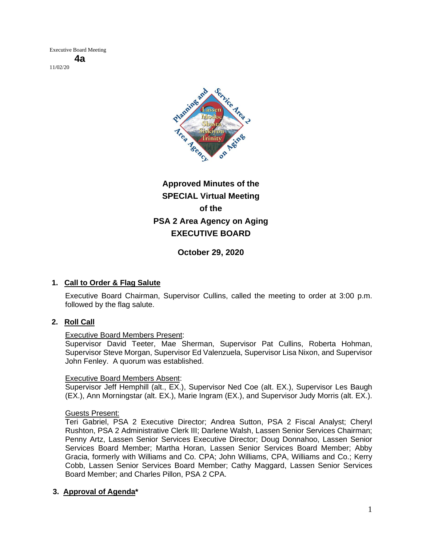

# **Approved Minutes of the SPECIAL Virtual Meeting of the PSA 2 Area Agency on Aging EXECUTIVE BOARD**

**October 29, 2020**

## **1. Call to Order & Flag Salute**

Executive Board Chairman, Supervisor Cullins, called the meeting to order at 3:00 p.m. followed by the flag salute.

## **2. Roll Call**

## Executive Board Members Present:

Supervisor David Teeter, Mae Sherman, Supervisor Pat Cullins, Roberta Hohman, Supervisor Steve Morgan, Supervisor Ed Valenzuela, Supervisor Lisa Nixon, and Supervisor John Fenley. A quorum was established.

## Executive Board Members Absent:

Supervisor Jeff Hemphill (alt., EX.), Supervisor Ned Coe (alt. EX.), Supervisor Les Baugh (EX.), Ann Morningstar (alt. EX.), Marie Ingram (EX.), and Supervisor Judy Morris (alt. EX.).

#### Guests Present:

Teri Gabriel, PSA 2 Executive Director; Andrea Sutton, PSA 2 Fiscal Analyst; Cheryl Rushton, PSA 2 Administrative Clerk III; Darlene Walsh, Lassen Senior Services Chairman; Penny Artz, Lassen Senior Services Executive Director; Doug Donnahoo, Lassen Senior Services Board Member; Martha Horan, Lassen Senior Services Board Member; Abby Gracia, formerly with Williams and Co. CPA; John Williams, CPA, Williams and Co.; Kerry Cobb, Lassen Senior Services Board Member; Cathy Maggard, Lassen Senior Services Board Member; and Charles Pillon, PSA 2 CPA.

## **3. Approval of Agenda\***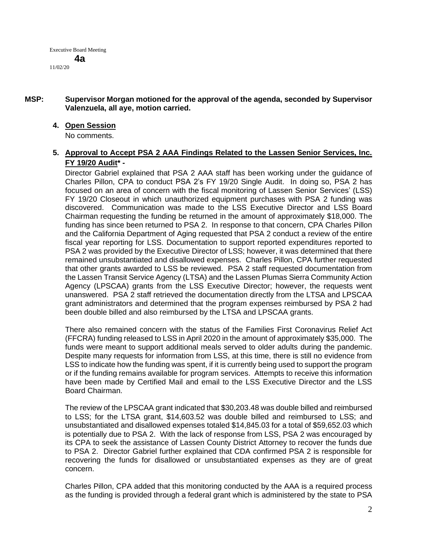#### **MSP: Supervisor Morgan motioned for the approval of the agenda, seconded by Supervisor Valenzuela, all aye, motion carried.**

#### **4. Open Session**

No comments.

#### **5. Approval to Accept PSA 2 AAA Findings Related to the Lassen Senior Services, Inc. FY 19/20 Audit\* -**

Director Gabriel explained that PSA 2 AAA staff has been working under the guidance of Charles Pillon, CPA to conduct PSA 2's FY 19/20 Single Audit. In doing so, PSA 2 has focused on an area of concern with the fiscal monitoring of Lassen Senior Services' (LSS) FY 19/20 Closeout in which unauthorized equipment purchases with PSA 2 funding was discovered. Communication was made to the LSS Executive Director and LSS Board Chairman requesting the funding be returned in the amount of approximately \$18,000. The funding has since been returned to PSA 2. In response to that concern, CPA Charles Pillon and the California Department of Aging requested that PSA 2 conduct a review of the entire fiscal year reporting for LSS. Documentation to support reported expenditures reported to PSA 2 was provided by the Executive Director of LSS; however, it was determined that there remained unsubstantiated and disallowed expenses. Charles Pillon, CPA further requested that other grants awarded to LSS be reviewed. PSA 2 staff requested documentation from the Lassen Transit Service Agency (LTSA) and the Lassen Plumas Sierra Community Action Agency (LPSCAA) grants from the LSS Executive Director; however, the requests went unanswered. PSA 2 staff retrieved the documentation directly from the LTSA and LPSCAA grant administrators and determined that the program expenses reimbursed by PSA 2 had been double billed and also reimbursed by the LTSA and LPSCAA grants.

There also remained concern with the status of the Families First Coronavirus Relief Act (FFCRA) funding released to LSS in April 2020 in the amount of approximately \$35,000. The funds were meant to support additional meals served to older adults during the pandemic. Despite many requests for information from LSS, at this time, there is still no evidence from LSS to indicate how the funding was spent, if it is currently being used to support the program or if the funding remains available for program services. Attempts to receive this information have been made by Certified Mail and email to the LSS Executive Director and the LSS Board Chairman.

The review of the LPSCAA grant indicated that \$30,203.48 was double billed and reimbursed to LSS; for the LTSA grant, \$14,603.52 was double billed and reimbursed to LSS; and unsubstantiated and disallowed expenses totaled \$14,845.03 for a total of \$59,652.03 which is potentially due to PSA 2. With the lack of response from LSS, PSA 2 was encouraged by its CPA to seek the assistance of Lassen County District Attorney to recover the funds due to PSA 2. Director Gabriel further explained that CDA confirmed PSA 2 is responsible for recovering the funds for disallowed or unsubstantiated expenses as they are of great concern.

Charles Pillon, CPA added that this monitoring conducted by the AAA is a required process as the funding is provided through a federal grant which is administered by the state to PSA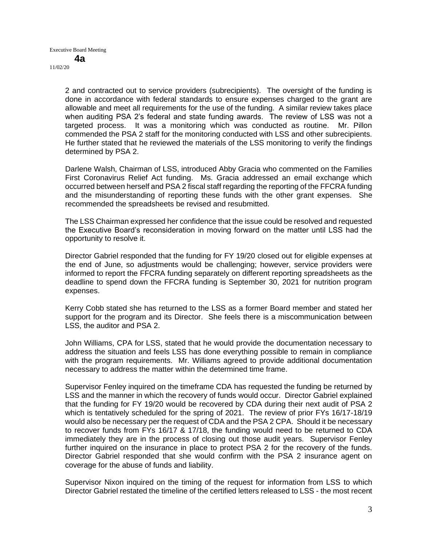> 2 and contracted out to service providers (subrecipients). The oversight of the funding is done in accordance with federal standards to ensure expenses charged to the grant are allowable and meet all requirements for the use of the funding. A similar review takes place when auditing PSA 2's federal and state funding awards. The review of LSS was not a targeted process. It was a monitoring which was conducted as routine. Mr. Pillon commended the PSA 2 staff for the monitoring conducted with LSS and other subrecipients. He further stated that he reviewed the materials of the LSS monitoring to verify the findings determined by PSA 2.

> Darlene Walsh, Chairman of LSS, introduced Abby Gracia who commented on the Families First Coronavirus Relief Act funding. Ms. Gracia addressed an email exchange which occurred between herself and PSA 2 fiscal staff regarding the reporting of the FFCRA funding and the misunderstanding of reporting these funds with the other grant expenses. She recommended the spreadsheets be revised and resubmitted.

> The LSS Chairman expressed her confidence that the issue could be resolved and requested the Executive Board's reconsideration in moving forward on the matter until LSS had the opportunity to resolve it.

> Director Gabriel responded that the funding for FY 19/20 closed out for eligible expenses at the end of June, so adjustments would be challenging; however, service providers were informed to report the FFCRA funding separately on different reporting spreadsheets as the deadline to spend down the FFCRA funding is September 30, 2021 for nutrition program expenses.

> Kerry Cobb stated she has returned to the LSS as a former Board member and stated her support for the program and its Director. She feels there is a miscommunication between LSS, the auditor and PSA 2.

> John Williams, CPA for LSS, stated that he would provide the documentation necessary to address the situation and feels LSS has done everything possible to remain in compliance with the program requirements. Mr. Williams agreed to provide additional documentation necessary to address the matter within the determined time frame.

> Supervisor Fenley inquired on the timeframe CDA has requested the funding be returned by LSS and the manner in which the recovery of funds would occur. Director Gabriel explained that the funding for FY 19/20 would be recovered by CDA during their next audit of PSA 2 which is tentatively scheduled for the spring of 2021. The review of prior FYs 16/17-18/19 would also be necessary per the request of CDA and the PSA 2 CPA. Should it be necessary to recover funds from FYs 16/17 & 17/18, the funding would need to be returned to CDA immediately they are in the process of closing out those audit years. Supervisor Fenley further inquired on the insurance in place to protect PSA 2 for the recovery of the funds. Director Gabriel responded that she would confirm with the PSA 2 insurance agent on coverage for the abuse of funds and liability.

> Supervisor Nixon inquired on the timing of the request for information from LSS to which Director Gabriel restated the timeline of the certified letters released to LSS - the most recent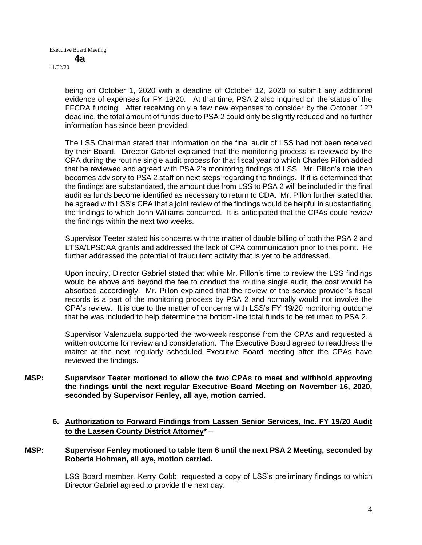> being on October 1, 2020 with a deadline of October 12, 2020 to submit any additional evidence of expenses for FY 19/20. At that time, PSA 2 also inquired on the status of the FFCRA funding. After receiving only a few new expenses to consider by the October  $12<sup>th</sup>$ deadline, the total amount of funds due to PSA 2 could only be slightly reduced and no further information has since been provided.

> The LSS Chairman stated that information on the final audit of LSS had not been received by their Board. Director Gabriel explained that the monitoring process is reviewed by the CPA during the routine single audit process for that fiscal year to which Charles Pillon added that he reviewed and agreed with PSA 2's monitoring findings of LSS. Mr. Pillon's role then becomes advisory to PSA 2 staff on next steps regarding the findings. If it is determined that the findings are substantiated, the amount due from LSS to PSA 2 will be included in the final audit as funds become identified as necessary to return to CDA. Mr. Pillon further stated that he agreed with LSS's CPA that a joint review of the findings would be helpful in substantiating the findings to which John Williams concurred. It is anticipated that the CPAs could review the findings within the next two weeks.

> Supervisor Teeter stated his concerns with the matter of double billing of both the PSA 2 and LTSA/LPSCAA grants and addressed the lack of CPA communication prior to this point. He further addressed the potential of fraudulent activity that is yet to be addressed.

> Upon inquiry, Director Gabriel stated that while Mr. Pillon's time to review the LSS findings would be above and beyond the fee to conduct the routine single audit, the cost would be absorbed accordingly. Mr. Pillon explained that the review of the service provider's fiscal records is a part of the monitoring process by PSA 2 and normally would not involve the CPA's review. It is due to the matter of concerns with LSS's FY 19/20 monitoring outcome that he was included to help determine the bottom-line total funds to be returned to PSA 2.

> Supervisor Valenzuela supported the two-week response from the CPAs and requested a written outcome for review and consideration. The Executive Board agreed to readdress the matter at the next regularly scheduled Executive Board meeting after the CPAs have reviewed the findings.

- **MSP: Supervisor Teeter motioned to allow the two CPAs to meet and withhold approving the findings until the next regular Executive Board Meeting on November 16, 2020, seconded by Supervisor Fenley, all aye, motion carried.** 
	- **6. Authorization to Forward Findings from Lassen Senior Services, Inc. FY 19/20 Audit to the Lassen County District Attorney\*** –

#### **MSP: Supervisor Fenley motioned to table Item 6 until the next PSA 2 Meeting, seconded by Roberta Hohman, all aye, motion carried.**

LSS Board member, Kerry Cobb, requested a copy of LSS's preliminary findings to which Director Gabriel agreed to provide the next day.